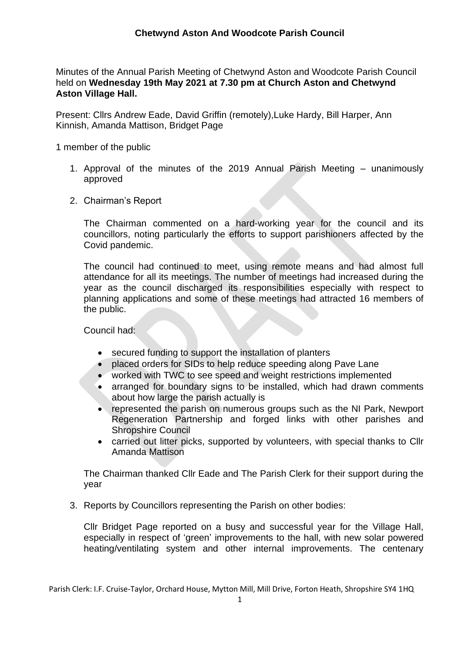Minutes of the Annual Parish Meeting of Chetwynd Aston and Woodcote Parish Council held on **Wednesday 19th May 2021 at 7.30 pm at Church Aston and Chetwynd Aston Village Hall.**

Present: Cllrs Andrew Eade, David Griffin (remotely),Luke Hardy, Bill Harper, Ann Kinnish, Amanda Mattison, Bridget Page

1 member of the public

- 1. Approval of the minutes of the 2019 Annual Parish Meeting unanimously approved
- 2. Chairman's Report

The Chairman commented on a hard-working year for the council and its councillors, noting particularly the efforts to support parishioners affected by the Covid pandemic.

The council had continued to meet, using remote means and had almost full attendance for all its meetings. The number of meetings had increased during the year as the council discharged its responsibilities especially with respect to planning applications and some of these meetings had attracted 16 members of the public.

Council had:

- secured funding to support the installation of planters
- placed orders for SIDs to help reduce speeding along Pave Lane
- worked with TWC to see speed and weight restrictions implemented
- arranged for boundary signs to be installed, which had drawn comments about how large the parish actually is
- represented the parish on numerous groups such as the NI Park, Newport Regeneration Partnership and forged links with other parishes and Shropshire Council
- carried out litter picks, supported by volunteers, with special thanks to Cllr Amanda Mattison

The Chairman thanked Cllr Eade and The Parish Clerk for their support during the year

3. Reports by Councillors representing the Parish on other bodies:

Cllr Bridget Page reported on a busy and successful year for the Village Hall, especially in respect of 'green' improvements to the hall, with new solar powered heating/ventilating system and other internal improvements. The centenary

Parish Clerk: I.F. Cruise-Taylor, Orchard House, Mytton Mill, Mill Drive, Forton Heath, Shropshire SY4 1HQ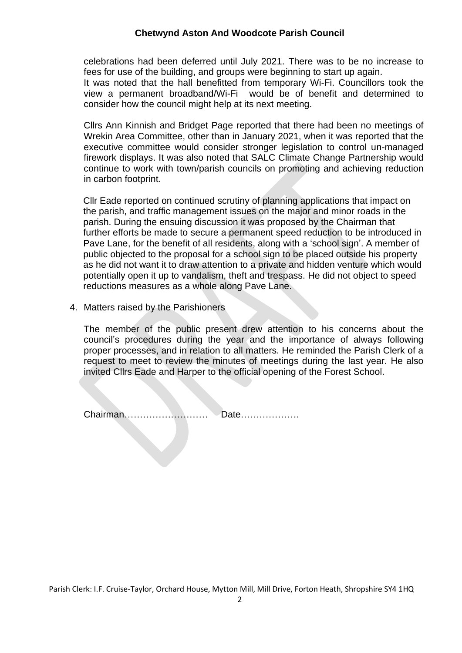## **Chetwynd Aston And Woodcote Parish Council**

celebrations had been deferred until July 2021. There was to be no increase to fees for use of the building, and groups were beginning to start up again. It was noted that the hall benefitted from temporary Wi-Fi. Councillors took the view a permanent broadband/Wi-Fi would be of benefit and determined to consider how the council might help at its next meeting.

Cllrs Ann Kinnish and Bridget Page reported that there had been no meetings of Wrekin Area Committee, other than in January 2021, when it was reported that the executive committee would consider stronger legislation to control un-managed firework displays. It was also noted that SALC Climate Change Partnership would continue to work with town/parish councils on promoting and achieving reduction in carbon footprint.

Cllr Eade reported on continued scrutiny of planning applications that impact on the parish, and traffic management issues on the major and minor roads in the parish. During the ensuing discussion it was proposed by the Chairman that further efforts be made to secure a permanent speed reduction to be introduced in Pave Lane, for the benefit of all residents, along with a 'school sign'. A member of public objected to the proposal for a school sign to be placed outside his property as he did not want it to draw attention to a private and hidden venture which would potentially open it up to vandalism, theft and trespass. He did not object to speed reductions measures as a whole along Pave Lane.

4. Matters raised by the Parishioners

The member of the public present drew attention to his concerns about the council's procedures during the year and the importance of always following proper processes, and in relation to all matters. He reminded the Parish Clerk of a request to meet to review the minutes of meetings during the last year. He also invited Cllrs Eade and Harper to the official opening of the Forest School.

Chairman……………………… Date……………….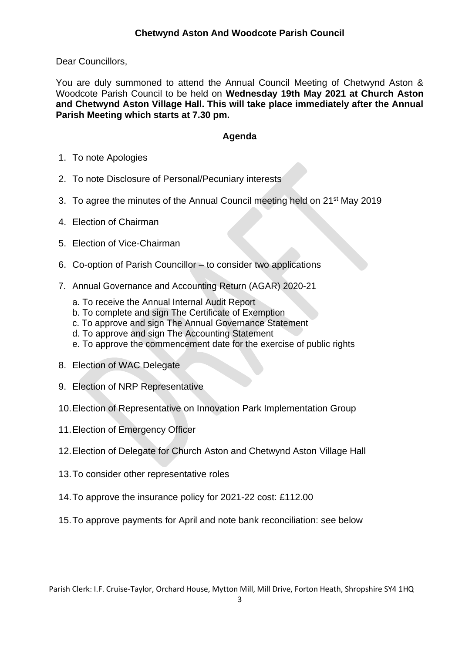Dear Councillors,

You are duly summoned to attend the Annual Council Meeting of Chetwynd Aston & Woodcote Parish Council to be held on **Wednesday 19th May 2021 at Church Aston and Chetwynd Aston Village Hall. This will take place immediately after the Annual Parish Meeting which starts at 7.30 pm.**

## **Agenda**

- 1. To note Apologies
- 2. To note Disclosure of Personal/Pecuniary interests
- 3. To agree the minutes of the Annual Council meeting held on 21<sup>st</sup> May 2019
- 4. Election of Chairman
- 5. Election of Vice-Chairman
- 6. Co-option of Parish Councillor to consider two applications
- 7. Annual Governance and Accounting Return (AGAR) 2020-21
	- a. To receive the Annual Internal Audit Report
	- b. To complete and sign The Certificate of Exemption
	- c. To approve and sign The Annual Governance Statement
	- d. To approve and sign The Accounting Statement
	- e. To approve the commencement date for the exercise of public rights
- 8. Election of WAC Delegate
- 9. Election of NRP Representative
- 10.Election of Representative on Innovation Park Implementation Group
- 11.Election of Emergency Officer
- 12.Election of Delegate for Church Aston and Chetwynd Aston Village Hall
- 13.To consider other representative roles
- 14.To approve the insurance policy for 2021-22 cost: £112.00
- 15.To approve payments for April and note bank reconciliation: see below

Parish Clerk: I.F. Cruise-Taylor, Orchard House, Mytton Mill, Mill Drive, Forton Heath, Shropshire SY4 1HQ